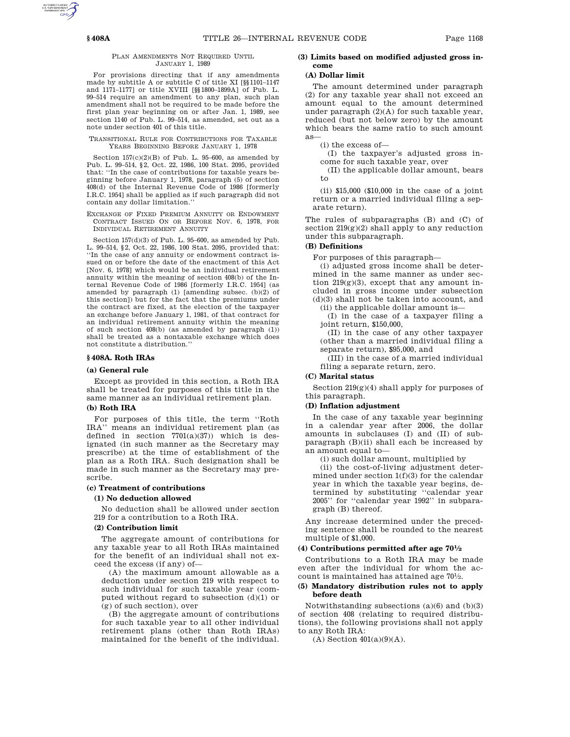#### PLAN AMENDMENTS NOT REQUIRED UNTIL JANUARY 1, 1989

For provisions directing that if any amendments made by subtitle A or subtitle C of title XI [§§1101–1147 and 1171–1177] or title XVIII [§§1800–1899A] of Pub. L. 99–514 require an amendment to any plan, such plan amendment shall not be required to be made before the first plan year beginning on or after Jan. 1, 1989, see section 1140 of Pub. L. 99–514, as amended, set out as a note under section 401 of this title.

TRANSITIONAL RULE FOR CONTRIBUTIONS FOR TAXABLE YEARS BEGINNING BEFORE JANUARY 1, 1978

Section  $157(c)(2)(B)$  of Pub. L. 95–600, as amended by Pub. L. 99–514, §2, Oct. 22, 1986, 100 Stat. 2095, provided that: ''In the case of contributions for taxable years beginning before January 1, 1978, paragraph (5) of section 408(d) of the Internal Revenue Code of 1986 [formerly I.R.C. 1954] shall be applied as if such paragraph did not contain any dollar limitation.''

EXCHANGE OF FIXED PREMIUM ANNUITY OR ENDOWMENT CONTRACT ISSUED ON OR BEFORE NOV. 6, 1978, FOR INDIVIDUAL RETIREMENT ANNUITY

Section 157(d)(3) of Pub. L. 95–600, as amended by Pub. L. 99–514, §2, Oct. 22, 1986, 100 Stat. 2095, provided that: ''In the case of any annuity or endowment contract issued on or before the date of the enactment of this Act [Nov. 6, 1978] which would be an individual retirement annuity within the meaning of section 408(b) of the Internal Revenue Code of 1986 [formerly I.R.C. 1954] (as amended by paragraph (1) [amending subsec. (b)(2) of this section]) but for the fact that the premiums under the contract are fixed, at the election of the taxpayer an exchange before January 1, 1981, of that contract for an individual retirement annuity within the meaning of such section  $408(b)$  (as amended by paragraph  $(1)$ ) shall be treated as a nontaxable exchange which does not constitute a distribution.''

#### **§ 408A. Roth IRAs**

#### **(a) General rule**

Except as provided in this section, a Roth IRA shall be treated for purposes of this title in the same manner as an individual retirement plan.

# **(b) Roth IRA**

For purposes of this title, the term ''Roth IRA'' means an individual retirement plan (as defined in section 7701(a)(37)) which is designated (in such manner as the Secretary may prescribe) at the time of establishment of the plan as a Roth IRA. Such designation shall be made in such manner as the Secretary may prescribe.

#### **(c) Treatment of contributions**

#### **(1) No deduction allowed**

No deduction shall be allowed under section 219 for a contribution to a Roth IRA.

#### **(2) Contribution limit**

The aggregate amount of contributions for any taxable year to all Roth IRAs maintained for the benefit of an individual shall not exceed the excess (if any) of—

(A) the maximum amount allowable as a deduction under section 219 with respect to such individual for such taxable year (computed without regard to subsection (d)(1) or (g) of such section), over

(B) the aggregate amount of contributions for such taxable year to all other individual retirement plans (other than Roth IRAs) maintained for the benefit of the individual.

### **(3) Limits based on modified adjusted gross income**

# **(A) Dollar limit**

The amount determined under paragraph (2) for any taxable year shall not exceed an amount equal to the amount determined under paragraph (2)(A) for such taxable year, reduced (but not below zero) by the amount which bears the same ratio to such amount as—

(i) the excess of—

(I) the taxpayer's adjusted gross income for such taxable year, over

(II) the applicable dollar amount, bears to

(ii) \$15,000 (\$10,000 in the case of a joint return or a married individual filing a separate return).

The rules of subparagraphs (B) and (C) of section  $219(g)(2)$  shall apply to any reduction under this subparagraph.

# **(B) Definitions**

For purposes of this paragraph—

(i) adjusted gross income shall be determined in the same manner as under section  $219(g)(3)$ , except that any amount included in gross income under subsection (d)(3) shall not be taken into account, and (ii) the applicable dollar amount is—

(I) in the case of a taxpayer filing a joint return, \$150,000,

(II) in the case of any other taxpayer (other than a married individual filing a separate return), \$95,000, and

(III) in the case of a married individual filing a separate return, zero.

#### **(C) Marital status**

Section 219(g)(4) shall apply for purposes of this paragraph.

# **(D) Inflation adjustment**

In the case of any taxable year beginning in a calendar year after 2006, the dollar amounts in subclauses (I) and (II) of subparagraph (B)(ii) shall each be increased by an amount equal to—

(i) such dollar amount, multiplied by

(ii) the cost-of-living adjustment determined under section  $1(f)(3)$  for the calendar year in which the taxable year begins, determined by substituting ''calendar year 2005'' for ''calendar year 1992'' in subparagraph (B) thereof.

Any increase determined under the preceding sentence shall be rounded to the nearest multiple of \$1,000.

#### **(4) Contributions permitted after age 70<sup>1</sup> ⁄2**

Contributions to a Roth IRA may be made even after the individual for whom the account is maintained has attained age 701 ⁄2.

#### **(5) Mandatory distribution rules not to apply before death**

Notwithstanding subsections  $(a)(6)$  and  $(b)(3)$ of section 408 (relating to required distributions), the following provisions shall not apply to any Roth IRA:

 $(A)$  Section  $401(a)(9)(A)$ .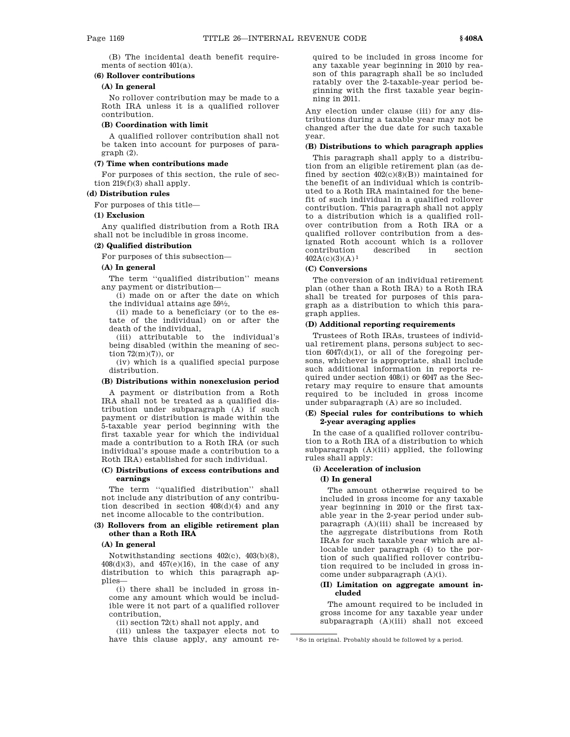(B) The incidental death benefit requirements of section 401(a).

### **(6) Rollover contributions**

# **(A) In general**

No rollover contribution may be made to a Roth IRA unless it is a qualified rollover contribution.

### **(B) Coordination with limit**

A qualified rollover contribution shall not be taken into account for purposes of paragraph (2).

#### **(7) Time when contributions made**

For purposes of this section, the rule of section 219(f)(3) shall apply.

## **(d) Distribution rules**

For purposes of this title—

#### **(1) Exclusion**

Any qualified distribution from a Roth IRA shall not be includible in gross income.

### **(2) Qualified distribution**

For purposes of this subsection—

#### **(A) In general**

The term ''qualified distribution'' means any payment or distribution—

(i) made on or after the date on which the individual attains age  $59\frac{1}{2}$ ,

(ii) made to a beneficiary (or to the estate of the individual) on or after the death of the individual,

(iii) attributable to the individual's being disabled (within the meaning of section  $72(m)(7)$ , or

(iv) which is a qualified special purpose distribution.

### **(B) Distributions within nonexclusion period**

A payment or distribution from a Roth IRA shall not be treated as a qualified distribution under subparagraph (A) if such payment or distribution is made within the 5-taxable year period beginning with the first taxable year for which the individual made a contribution to a Roth IRA (or such individual's spouse made a contribution to a Roth IRA) established for such individual.

### **(C) Distributions of excess contributions and earnings**

The term ''qualified distribution'' shall not include any distribution of any contribution described in section  $408(d)(4)$  and any net income allocable to the contribution.

### **(3) Rollovers from an eligible retirement plan other than a Roth IRA**

#### **(A) In general**

Notwithstanding sections 402(c), 403(b)(8),  $408(d)(3)$ , and  $457(e)(16)$ , in the case of any distribution to which this paragraph applies—

(i) there shall be included in gross income any amount which would be includible were it not part of a qualified rollover contribution,

(ii) section 72(t) shall not apply, and

(iii) unless the taxpayer elects not to have this clause apply, any amount re-

quired to be included in gross income for any taxable year beginning in 2010 by reason of this paragraph shall be so included ratably over the 2-taxable-year period beginning with the first taxable year beginning in 2011.

Any election under clause (iii) for any distributions during a taxable year may not be changed after the due date for such taxable year.

### **(B) Distributions to which paragraph applies**

This paragraph shall apply to a distribution from an eligible retirement plan (as defined by section  $402(c)(8)(B)$ ) maintained for the benefit of an individual which is contributed to a Roth IRA maintained for the benefit of such individual in a qualified rollover contribution. This paragraph shall not apply to a distribution which is a qualified rollover contribution from a Roth IRA or a qualified rollover contribution from a designated Roth account which is a rollover contribution described in section  $402A(c)(3)(A)^1$ 

#### **(C) Conversions**

The conversion of an individual retirement plan (other than a Roth IRA) to a Roth IRA shall be treated for purposes of this paragraph as a distribution to which this paragraph applies.

# **(D) Additional reporting requirements**

Trustees of Roth IRAs, trustees of individual retirement plans, persons subject to section 6047(d)(1), or all of the foregoing persons, whichever is appropriate, shall include such additional information in reports required under section 408(i) or 6047 as the Secretary may require to ensure that amounts required to be included in gross income under subparagraph (A) are so included.

# **(E) Special rules for contributions to which 2-year averaging applies**

In the case of a qualified rollover contribution to a Roth IRA of a distribution to which subparagraph  $(A)(iii)$  applied, the following rules shall apply:

#### **(i) Acceleration of inclusion**

### **(I) In general**

The amount otherwise required to be included in gross income for any taxable year beginning in 2010 or the first taxable year in the 2-year period under subparagraph (A)(iii) shall be increased by the aggregate distributions from Roth IRAs for such taxable year which are allocable under paragraph (4) to the portion of such qualified rollover contribution required to be included in gross income under subparagraph (A)(i).

## **(II) Limitation on aggregate amount included**

The amount required to be included in gross income for any taxable year under subparagraph  $(A)(iii)$  shall not exceed

<sup>1</sup>So in original. Probably should be followed by a period.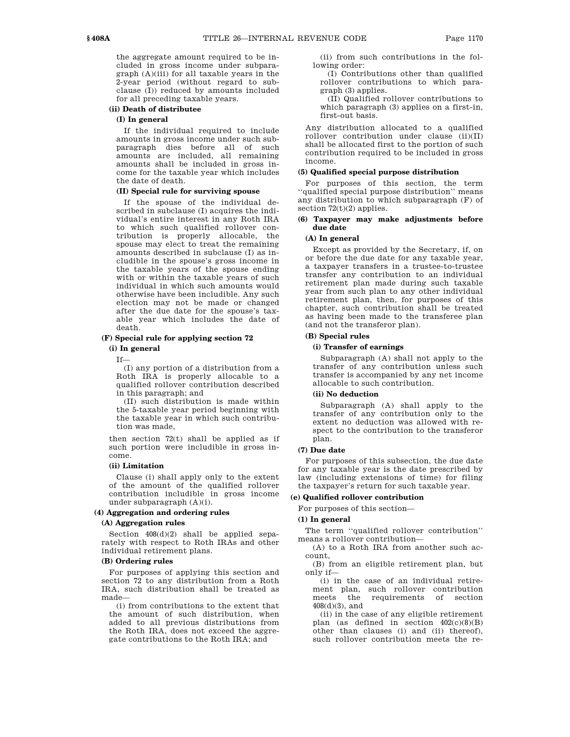the aggregate amount required to be included in gross income under subparagraph (A)(iii) for all taxable years in the 2-year period (without regard to subclause (I)) reduced by amounts included for all preceding taxable years.

# **(ii) Death of distributee**

### **(I) In general**

If the individual required to include amounts in gross income under such subparagraph dies before all of such amounts are included, all remaining amounts shall be included in gross income for the taxable year which includes the date of death.

## **(II) Special rule for surviving spouse**

If the spouse of the individual described in subclause (I) acquires the individual's entire interest in any Roth IRA to which such qualified rollover contribution is properly allocable, the spouse may elect to treat the remaining amounts described in subclause (I) as includible in the spouse's gross income in the taxable years of the spouse ending with or within the taxable years of such individual in which such amounts would otherwise have been includible. Any such election may not be made or changed after the due date for the spouse's taxable year which includes the date of death.

### **(F) Special rule for applying section 72**

**(i) In general**

If—

(I) any portion of a distribution from a Roth IRA is properly allocable to a qualified rollover contribution described in this paragraph; and

(II) such distribution is made within the 5-taxable year period beginning with the taxable year in which such contribution was made,

then section 72(t) shall be applied as if such portion were includible in gross income.

#### **(ii) Limitation**

Clause (i) shall apply only to the extent of the amount of the qualified rollover contribution includible in gross income under subparagraph (A)(i).

#### **(4) Aggregation and ordering rules**

# **(A) Aggregation rules**

Section 408(d)(2) shall be applied separately with respect to Roth IRAs and other individual retirement plans.

### **(B) Ordering rules**

For purposes of applying this section and section 72 to any distribution from a Roth IRA, such distribution shall be treated as made—

(i) from contributions to the extent that the amount of such distribution, when added to all previous distributions from the Roth IRA, does not exceed the aggregate contributions to the Roth IRA; and

(ii) from such contributions in the following order:

(I) Contributions other than qualified rollover contributions to which paragraph (3) applies.

(II) Qualified rollover contributions to which paragraph (3) applies on a first-in, first-out basis.

Any distribution allocated to a qualified rollover contribution under clause (ii)(II) shall be allocated first to the portion of such contribution required to be included in gross income.

### **(5) Qualified special purpose distribution**

For purposes of this section, the term ''qualified special purpose distribution'' means any distribution to which subparagraph (F) of section  $72(t)(2)$  applies.

### **(6) Taxpayer may make adjustments before due date**

### **(A) In general**

Except as provided by the Secretary, if, on or before the due date for any taxable year, a taxpayer transfers in a trustee-to-trustee transfer any contribution to an individual retirement plan made during such taxable year from such plan to any other individual retirement plan, then, for purposes of this chapter, such contribution shall be treated as having been made to the transferee plan (and not the transferor plan).

#### **(B) Special rules**

### **(i) Transfer of earnings**

Subparagraph (A) shall not apply to the transfer of any contribution unless such transfer is accompanied by any net income allocable to such contribution.

#### **(ii) No deduction**

Subparagraph (A) shall apply to the transfer of any contribution only to the extent no deduction was allowed with respect to the contribution to the transferor plan.

#### **(7) Due date**

For purposes of this subsection, the due date for any taxable year is the date prescribed by law (including extensions of time) for filing the taxpayer's return for such taxable year.

#### **(e) Qualified rollover contribution**

For purposes of this section—

#### **(1) In general**

The term ''qualified rollover contribution'' means a rollover contribution—

(A) to a Roth IRA from another such account,

(B) from an eligible retirement plan, but only if—

(i) in the case of an individual retirement plan, such rollover contribution meets the requirements of section 408(d)(3), and

(ii) in the case of any eligible retirement plan (as defined in section  $402(c)(8)(B)$ other than clauses (i) and (ii) thereof), such rollover contribution meets the re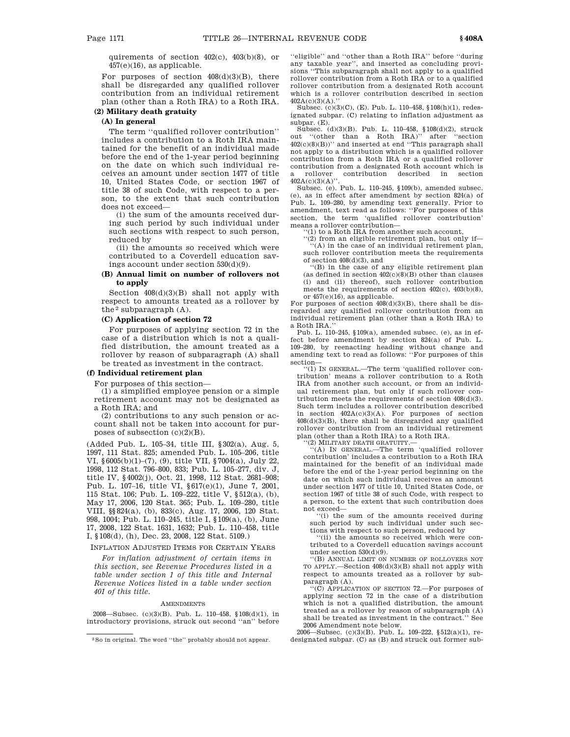quirements of section  $402(c)$ ,  $403(b)(8)$ , or  $457(e)(16)$ , as applicable.

For purposes of section  $408(d)(3)(B)$ , there shall be disregarded any qualified rollover contribution from an individual retirement plan (other than a Roth IRA) to a Roth IRA.

# **(2) Military death gratuity**

# **(A) In general**

The term ''qualified rollover contribution'' includes a contribution to a Roth IRA maintained for the benefit of an individual made before the end of the 1-year period beginning on the date on which such individual receives an amount under section 1477 of title 10, United States Code, or section 1967 of title 38 of such Code, with respect to a person, to the extent that such contribution does not exceed—

(i) the sum of the amounts received during such period by such individual under such sections with respect to such person, reduced by

(ii) the amounts so received which were contributed to a Coverdell education savings account under section 530(d)(9).

#### **(B) Annual limit on number of rollovers not to apply**

Section 408(d)(3)(B) shall not apply with respect to amounts treated as a rollover by the  $2$  subparagraph  $(A)$ .

#### **(C) Application of section 72**

For purposes of applying section 72 in the case of a distribution which is not a qualified distribution, the amount treated as a rollover by reason of subparagraph (A) shall be treated as investment in the contract.

# **(f) Individual retirement plan**

For purposes of this section—

(1) a simplified employee pension or a simple retirement account may not be designated as a Roth IRA; and

(2) contributions to any such pension or account shall not be taken into account for purposes of subsection  $(c)(2)(B)$ .

(Added Pub. L. 105–34, title III, §302(a), Aug. 5, 1997, 111 Stat. 825; amended Pub. L. 105–206, title VI, §6005(b)(1)–(7), (9), title VII, §7004(a), July 22, 1998, 112 Stat. 796–800, 833; Pub. L. 105–277, div. J, title IV, §4002(j), Oct. 21, 1998, 112 Stat. 2681–908; Pub. L. 107–16, title VI, §617(e)(1), June 7, 2001, 115 Stat. 106; Pub. L. 109–222, title V, §512(a), (b), May 17, 2006, 120 Stat. 365; Pub. L. 109–280, title VIII, §§824(a), (b), 833(c), Aug. 17, 2006, 120 Stat. 998, 1004; Pub. L. 110–245, title I, §109(a), (b), June 17, 2008, 122 Stat. 1631, 1632; Pub. L. 110–458, title I, §108(d), (h), Dec. 23, 2008, 122 Stat. 5109.)

INFLATION ADJUSTED ITEMS FOR CERTAIN YEARS

*For inflation adjustment of certain items in this section, see Revenue Procedures listed in a table under section 1 of this title and Internal Revenue Notices listed in a table under section 401 of this title.*

#### **AMENDMENTS**

2008—Subsec. (c)(3)(B). Pub. L. 110–458, §108(d)(1), in introductory provisions, struck out second ''an'' before ''eligible'' and ''other than a Roth IRA'' before ''during any taxable year'', and inserted as concluding provisions ''This subparagraph shall not apply to a qualified rollover contribution from a Roth IRA or to a qualified rollover contribution from a designated Roth account which is a rollover contribution described in section  $402A(c)(3)(A)$ ."

Subsec. (c)(3)(C), (E). Pub. L. 110–458, §108(h)(1), redesignated subpar. (C) relating to inflation adjustment as subpar. (E).

Subsec. (d)(3)(B). Pub. L. 110–458, §108(d)(2), struck out ''(other than a Roth IRA)'' after ''section 402(c)(8)(B))'' and inserted at end ''This paragraph shall not apply to a distribution which is a qualified rollover contribution from a Roth IRA or a qualified rollover contribution from a designated Roth account which is a rollover contribution described in section  $402A(c)(3)(A)$ ".

Subsec. (e). Pub. L. 110–245, §109(b), amended subsec. (e), as in effect after amendment by section 824(a) of Pub. L. 109–280, by amending text generally. Prior to amendment, text read as follows: ''For purposes of this section, the term 'qualified rollover contribution' means a rollover contribution—

''(1) to a Roth IRA from another such account, ''(2) from an eligible retirement plan, but only if—

''(A) in the case of an individual retirement plan, such rollover contribution meets the requirements of section 408(d)(3), and

''(B) in the case of any eligible retirement plan (as defined in section  $402(c)(8)(B)$  other than clauses (i) and (ii) thereof), such rollover contribution meets the requirements of section 402(c), 403(b)(8), or 457(e)(16), as applicable.

For purposes of section  $408(d)(3)(B)$ , there shall be disregarded any qualified rollover contribution from an individual retirement plan (other than a Roth IRA) to a Roth IRA.''

Pub. L. 110–245, §109(a), amended subsec. (e), as in effect before amendment by section 824(a) of Pub. L. 109–280, by reenacting heading without change and amending text to read as follows: ''For purposes of this section—

<sup>1</sup>(1) IN GENERAL.—The term 'qualified rollover contribution' means a rollover contribution to a Roth IRA from another such account, or from an individual retirement plan, but only if such rollover contribution meets the requirements of section 408(d)(3). Such term includes a rollover contribution described in section 402A(c)(3)(A). For purposes of section  $408(d)(3)(B)$ , there shall be disregarded any qualified rollover contribution from an individual retirement plan (other than a Roth IRA) to a Roth IRA.

''(2) MILITARY DEATH GRATUITY.— ''(A) IN GENERAL.—The term 'qualified rollover contribution' includes a contribution to a Roth IRA maintained for the benefit of an individual made before the end of the 1-year period beginning on the date on which such individual receives an amount under section 1477 of title 10, United States Code, or section 1967 of title 38 of such Code, with respect to a person, to the extent that such contribution does not exceed—

''(i) the sum of the amounts received during such period by such individual under such sections with respect to such person, reduced by

''(ii) the amounts so received which were contributed to a Coverdell education savings account

under section 530(d)(9). ''(B) ANNUAL LIMIT ON NUMBER OF ROLLOVERS NOT TO APPLY.—Section 408(d)(3)(B) shall not apply with respect to amounts treated as a rollover by subparagraph (A).

''(C) APPLICATION OF SECTION 72.—For purposes of applying section 72 in the case of a distribution which is not a qualified distribution, the amount treated as a rollover by reason of subparagraph (A) shall be treated as investment in the contract.'' See

2006 Amendment note below. 2006—Subsec. (c)(3)(B). Pub. L. 109–222, §512(a)(1), redesignated subpar. (C) as (B) and struck out former sub-

<sup>2</sup>So in original. The word ''the'' probably should not appear.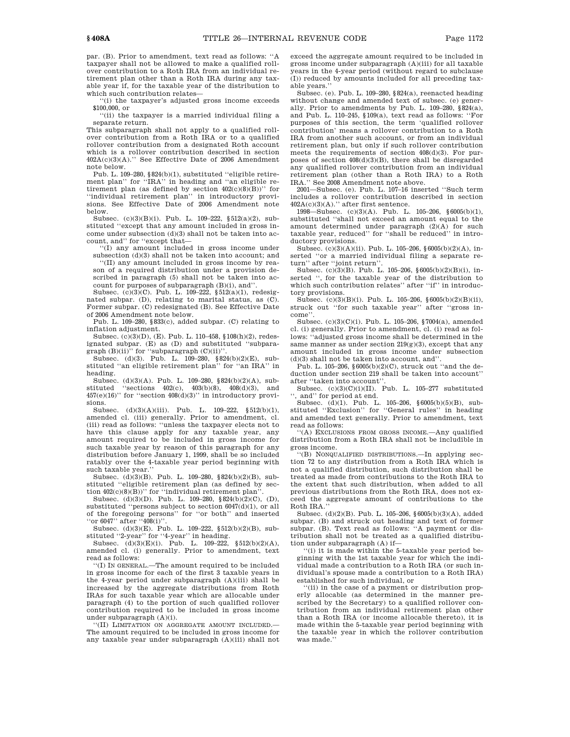par. (B). Prior to amendment, text read as follows: ''A taxpayer shall not be allowed to make a qualified rollover contribution to a Roth IRA from an individual retirement plan other than a Roth IRA during any taxable year if, for the taxable year of the distribution to which such contribution relates—

''(i) the taxpayer's adjusted gross income exceeds \$100,000, or

''(ii) the taxpayer is a married individual filing a separate return.

This subparagraph shall not apply to a qualified rollover contribution from a Roth IRA or to a qualified rollover contribution from a designated Roth account which is a rollover contribution described in section 402A(c)(3)(A).'' See Effective Date of 2006 Amendment note below.

Pub. L. 109-280, §824(b)(1), substituted "eligible retirement plan'' for ''IRA'' in heading and ''an eligible retirement plan (as defined by section  $402(c)(8)(B))$ " for ''individual retirement plan'' in introductory provisions. See Effective Date of 2006 Amendment note below.

Subsec. (c)(3)(B)(i). Pub. L. 109–222, §512(a)(2), substituted ''except that any amount included in gross income under subsection (d)(3) shall not be taken into account, and'' for ''except that—

''(I) any amount included in gross income under subsection (d)(3) shall not be taken into account; and

''(II) any amount included in gross income by reason of a required distribution under a provision described in paragraph (5) shall not be taken into account for purposes of subparagraph (B)(i), and''.

Subsec. (c)(3)(C). Pub. L. 109-222,  $\S 512(a)(1)$ , redesignated subpar. (D), relating to marital status, as (C). Former subpar. (C) redesignated (B). See Effective Date of 2006 Amendment note below.

Pub. L. 109–280, §833(c), added subpar. (C) relating to inflation adjustment.

Subsec. (c)(3)(D), (E). Pub. L. 110–458, §108(h)(2), redesignated subpar. (E) as (D) and substituted ''subpara-

graph (B)(ii)'' for ''subparagraph (C)(ii)''. Subsec. (d)(3). Pub. L. 109–280, §824(b)(2)(E), substituted ''an eligible retirement plan'' for ''an IRA'' in heading.

Subsec. (d)(3)(A). Pub. L. 109–280, §824(b)(2)(A), substituted ''sections 402(c), 403(b)(8), 408(d)(3), and  $457(e)(16)$ " for "section $408(\mathrm{d})(3)$ " in introductory provisions.

Subsec. (d)(3)(A)(iii). Pub. L. 109-222, §512(b)(1), amended cl. (iii) generally. Prior to amendment, cl. (iii) read as follows: ''unless the taxpayer elects not to have this clause apply for any taxable year, any amount required to be included in gross income for such taxable year by reason of this paragraph for any distribution before January 1, 1999, shall be so included ratably over the 4-taxable year period beginning with such taxable year.'

Subsec. (d)(3)(B). Pub. L. 109–280, §824(b)(2)(B), substituted ''eligible retirement plan (as defined by section  $402(c)(8)(B)$ " for "individual retirement plan".

Subsec. (d)(3)(D). Pub. L. 109–280, §824(b)(2)(C), (D), substituted "persons subject to section  $6047(d)(1)$ , or all of the foregoing persons'' for ''or both'' and inserted ''or 6047'' after ''408(i)''.

Subsec. (d)(3)(E). Pub. L. 109–222, §512(b)(2)(B), sub-

stituted "2-year" for "4-year" in heading.<br>Subsec.  $(d)(3)(E)(i)$ . Pub. L.  $109-222$ ,  $\S 512(b)(2)(A)$ , amended cl. (i) generally. Prior to amendment, text read as follows:

''(I) IN GENERAL.—The amount required to be included in gross income for each of the first 3 taxable years in the 4-year period under subparagraph (A)(iii) shall be increased by the aggregate distributions from Roth IRAs for such taxable year which are allocable under paragraph (4) to the portion of such qualified rollover contribution required to be included in gross income under subparagraph (A)(i).

''(II) LIMITATION ON AGGREGATE AMOUNT INCLUDED.— The amount required to be included in gross income for any taxable year under subparagraph (A)(iii) shall not

exceed the aggregate amount required to be included in gross income under subparagraph (A)(iii) for all taxable years in the 4-year period (without regard to subclause (I)) reduced by amounts included for all preceding taxable years.''

Subsec. (e). Pub. L. 109–280, §824(a), reenacted heading without change and amended text of subsec. (e) generally. Prior to amendments by Pub. L. 109–280, §824(a), and Pub. L. 110–245, §109(a), text read as follows: ''For purposes of this section, the term 'qualified rollover contribution' means a rollover contribution to a Roth IRA from another such account, or from an individual retirement plan, but only if such rollover contribution meets the requirements of section 408(d)(3). For purposes of section  $408(d)(3)(B)$ , there shall be disregarded any qualified rollover contribution from an individual retirement plan (other than a Roth IRA) to a Roth IRA.'' See 2008 Amendment note above.

2001—Subsec. (e). Pub. L. 107–16 inserted ''Such term includes a rollover contribution described in section 402A(c)(3)(A).'' after first sentence.

1998—Subsec. (c)(3)(A). Pub. L. 105–206, §6005(b)(1), substituted ''shall not exceed an amount equal to the amount determined under paragraph (2)(A) for such taxable year, reduced'' for ''shall be reduced'' in introductory provisions.

Subsec. (c)(3)(A)(ii). Pub. L. 105–206, §6005(b)(2)(A), inserted ''or a married individual filing a separate re-

turn'' after ''joint return''. Subsec. (c)(3)(B). Pub. L. 105–206, §6005(b)(2)(B)(i), inserted '', for the taxable year of the distribution to which such contribution relates" after "if" in introductory provisions.

Subsec. (c)(3)(B)(i). Pub. L. 105–206, §6005(b)(2)(B)(ii), struck out "for such taxable year" after "gross income''.

Subsec. (c)(3)(C)(i). Pub. L. 105–206, §7004(a), amended cl. (i) generally. Prior to amendment, cl. (i) read as follows: ''adjusted gross income shall be determined in the same manner as under section  $219(g)(3)$ , except that any amount included in gross income under subsection (d)(3) shall not be taken into account, and''.

Pub. L. 105–206, §6005(b)(2)(C), struck out ''and the deduction under section 219 shall be taken into account'' after ''taken into account''.

Subsec. (c)(3)(C)(i)(II). Pub. L. 105-277 substituted '', and'' for period at end.

Subsec. (d)(1). Pub. L. 105–206, §6005(b)(5)(B), substituted ''Exclusion'' for ''General rules'' in heading and amended text generally. Prior to amendment, text read as follows:

''(A) EXCLUSIONS FROM GROSS INCOME.—Any qualified distribution from a Roth IRA shall not be includible in gross income.

''(B) NONQUALIFIED DISTRIBUTIONS.—In applying section 72 to any distribution from a Roth IRA which is not a qualified distribution, such distribution shall be treated as made from contributions to the Roth IRA to the extent that such distribution, when added to all previous distributions from the Roth IRA, does not exceed the aggregate amount of contributions to the Roth IRA.

Subsec. (d)(2)(B). Pub. L. 105–206, §6005(b)(3)(A), added subpar. (B) and struck out heading and text of former subpar. (B). Text read as follows: ''A payment or distribution shall not be treated as a qualified distribution under subparagraph (A) if—

 $'(i)$  it is made within the 5-taxable year period beginning with the 1st taxable year for which the individual made a contribution to a Roth IRA (or such individual's spouse made a contribution to a Roth IRA) established for such individual, or

''(ii) in the case of a payment or distribution properly allocable (as determined in the manner prescribed by the Secretary) to a qualified rollover contribution from an individual retirement plan other than a Roth IRA (or income allocable thereto), it is made within the 5-taxable year period beginning with the taxable year in which the rollover contribution was made.''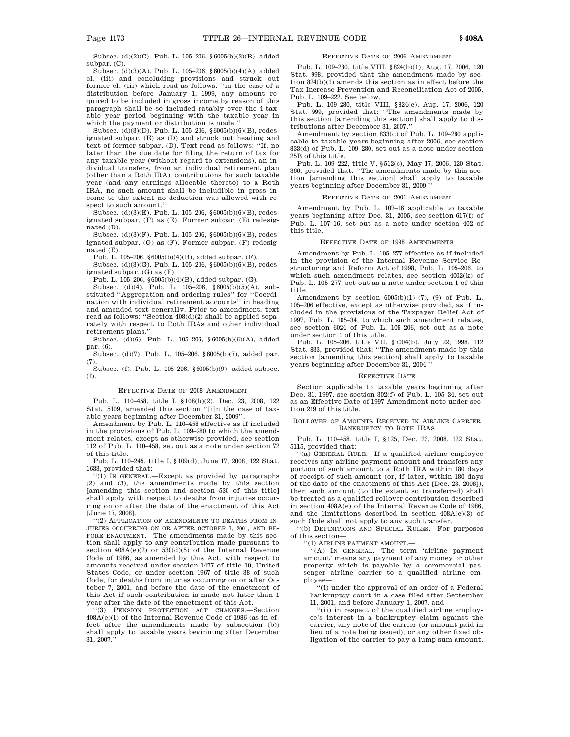Subsec. (d)(2)(C). Pub. L. 105–206, §6005(b)(3)(B), added subpar. (C).

Subsec. (d)(3)(A). Pub. L. 105–206, §6005(b)(4)(A), added cl. (iii) and concluding provisions and struck out former cl. (iii) which read as follows: ''in the case of a distribution before January 1, 1999, any amount required to be included in gross income by reason of this paragraph shall be so included ratably over the 4-taxable year period beginning with the taxable year in which the payment or distribution is made.''

Subsec. (d)(3)(D). Pub. L. 105–206, §6005(b)(6)(B), redesignated subpar. (E) as (D) and struck out heading and text of former subpar. (D). Text read as follows: "If, no later than the due date for filing the return of tax for any taxable year (without regard to extensions), an individual transfers, from an individual retirement plan (other than a Roth IRA), contributions for such taxable year (and any earnings allocable thereto) to a Roth IRA, no such amount shall be includible in gross income to the extent no deduction was allowed with respect to such amount.''

Subsec. (d)(3)(E). Pub. L. 105–206, §6005(b)(6)(B), redesignated subpar. (F) as (E). Former subpar. (E) redesignated (D).

Subsec. (d)(3)(F). Pub. L. 105–206, §6005(b)(6)(B), redesignated subpar. (G) as (F). Former subpar. (F) redesignated (E).

Pub. L. 105–206, §6005(b)(4)(B), added subpar. (F).

Subsec. (d)(3)(G). Pub. L. 105–206, §6005(b)(6)(B), redesignated subpar. (G) as (F).

Pub. L. 105–206, §6005(b)(4)(B), added subpar. (G).

Subsec. (d)(4). Pub. L. 105–206, §6005(b)(5)(A), substituted ''Aggregation and ordering rules'' for ''Coordination with individual retirement accounts'' in heading and amended text generally. Prior to amendment, text read as follows: ''Section 408(d)(2) shall be applied separately with respect to Roth IRAs and other individual retirement plans.''

Subsec. (d)(6). Pub. L. 105–206, §6005(b)(6)(A), added par. (6).

Subsec. (d)(7). Pub. L. 105–206, §6005(b)(7), added par. (7).

Subsec. (f). Pub. L. 105–206, §6005(b)(9), added subsec. (f).

#### EFFECTIVE DATE OF 2008 AMENDMENT

Pub. L. 110–458, title I, §108(h)(2), Dec. 23, 2008, 122 Stat. 5109, amended this section ''[i]n the case of taxable years beginning after December 31, 2009''.

Amendment by Pub. L. 110–458 effective as if included in the provisions of Pub. L. 109–280 to which the amendment relates, except as otherwise provided, see section 112 of Pub. L. 110–458, set out as a note under section 72 of this title.

Pub. L. 110–245, title I, §109(d), June 17, 2008, 122 Stat. 1633, provided that:

''(1) IN GENERAL.—Except as provided by paragraphs (2) and (3), the amendments made by this section [amending this section and section 530 of this title] shall apply with respect to deaths from injuries occurring on or after the date of the enactment of this Act [June 17, 2008].

''(2) APPLICATION OF AMENDMENTS TO DEATHS FROM IN-JURIES OCCURRING ON OR AFTER OCTOBER 7, 2001, AND BE-FORE ENACTMENT.—The amendments made by this section shall apply to any contribution made pursuant to section  $408A(e)(2)$  or  $530(d)(5)$  of the Internal Revenue Code of 1986, as amended by this Act, with respect to amounts received under section 1477 of title 10, United States Code, or under section 1967 of title 38 of such Code, for deaths from injuries occurring on or after October 7, 2001, and before the date of the enactment of this Act if such contribution is made not later than 1 year after the date of the enactment of this Act.

'(3) PENSION PROTECTION ACT CHANGES.-Section 408A(e)(1) of the Internal Revenue Code of 1986 (as in effect after the amendments made by subsection (b)) shall apply to taxable years beginning after December 31, 2007.''

#### EFFECTIVE DATE OF 2006 AMENDMENT

Pub. L. 109–280, title VIII, §824(b)(1), Aug. 17, 2006, 120 Stat. 998, provided that the amendment made by section 824(b)(1) amends this section as in effect before the Tax Increase Prevention and Reconciliation Act of 2005, Pub. L. 109–222. See below.

Pub. L. 109–280, title VIII, §824(c), Aug. 17, 2006, 120 Stat. 999, provided that: ''The amendments made by this section [amending this section] shall apply to distributions after December 31, 2007.''

Amendment by section 833(c) of Pub. L. 109–280 applicable to taxable years beginning after 2006, see section 833(d) of Pub. L. 109–280, set out as a note under section 25B of this title.

Pub. L. 109–222, title V, §512(c), May 17, 2006, 120 Stat. 366, provided that: ''The amendments made by this section [amending this section] shall apply to taxable years beginning after December 31, 2009.

#### EFFECTIVE DATE OF 2001 AMENDMENT

Amendment by Pub. L. 107–16 applicable to taxable years beginning after Dec. 31, 2005, see section 617(f) of Pub. L. 107–16, set out as a note under section 402 of this title.

#### EFFECTIVE DATE OF 1998 AMENDMENTS

Amendment by Pub. L. 105–277 effective as if included in the provision of the Internal Revenue Service Restructuring and Reform Act of 1998, Pub. L. 105–206, to which such amendment relates, see section 4002(k) of Pub. L. 105–277, set out as a note under section 1 of this title.

Amendment by section 6005(b)(1)–(7), (9) of Pub. L. 105–206 effective, except as otherwise provided, as if included in the provisions of the Taxpayer Relief Act of 1997, Pub. L. 105–34, to which such amendment relates, see section 6024 of Pub. L. 105–206, set out as a note under section 1 of this title.

Pub. L. 105–206, title VII, §7004(b), July 22, 1998, 112 Stat. 833, provided that: ''The amendment made by this section [amending this section] shall apply to taxable years beginning after December 31, 2004.''

#### EFFECTIVE DATE

Section applicable to taxable years beginning after Dec. 31, 1997, see section 302(f) of Pub. L. 105–34, set out as an Effective Date of 1997 Amendment note under section 219 of this title.

#### ROLLOVER OF AMOUNTS RECEIVED IN AIRLINE CARRIER BANKRUPTCY TO ROTH IRAS

Pub. L. 110–458, title I, §125, Dec. 23, 2008, 122 Stat. 5115, provided that:

''(a) GENERAL RULE.—If a qualified airline employee receives any airline payment amount and transfers any portion of such amount to a Roth IRA within 180 days of receipt of such amount (or, if later, within 180 days of the date of the enactment of this Act [Dec. 23, 2008]), then such amount (to the extent so transferred) shall be treated as a qualified rollover contribution described in section 408A(e) of the Internal Revenue Code of 1986, and the limitations described in section 408A(c)(3) of such Code shall not apply to any such transfer.

''(b) DEFINITIONS AND SPECIAL RULES.—For purposes of this section—

''(1) AIRLINE PAYMENT AMOUNT.—

''(A) IN GENERAL.—The term 'airline payment amount' means any payment of any money or other property which is payable by a commercial passenger airline carrier to a qualified airline employee—

''(i) under the approval of an order of a Federal bankruptcy court in a case filed after September 11, 2001, and before January 1, 2007, and

''(ii) in respect of the qualified airline employee's interest in a bankruptcy claim against the carrier, any note of the carrier (or amount paid in lieu of a note being issued), or any other fixed obligation of the carrier to pay a lump sum amount.